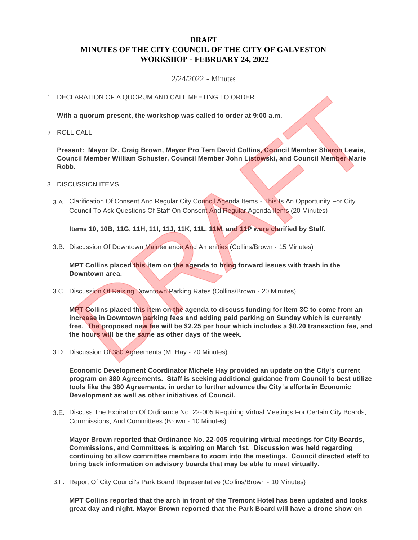## **DRAFT MINUTES OF THE CITY COUNCIL OF THE CITY OF GALVESTON WORKSHOP - FEBRUARY 24, 2022**

## 2/24/2022 - Minutes

## 1. DECLARATION OF A QUORUM AND CALL MEETING TO ORDER

**With a quorum present, the workshop was called to order at 9:00 a.m.**

ROLL CALL 2.

**Present: Mayor Dr. Craig Brown, Mayor Pro Tem David Collins, Council Member Sharon Lewis, Council Member William Schuster, Council Member John Listowski, and Council Member Marie Robb.**

- 3. DISCUSSION ITEMS
	- 3.A. Clarification Of Consent And Regular City Council Agenda Items This Is An Opportunity For City Council To Ask Questions Of Staff On Consent And Regular Agenda Items (20 Minutes)

**Items 10, 10B, 11G, 11H, 11I, 11J, 11K, 11L, 11M, and 11P were clarified by Staff.**

3.B. Discussion Of Downtown Maintenance And Amenities (Collins/Brown - 15 Minutes)

**MPT Collins placed this item on the agenda to bring forward issues with trash in the Downtown area.** 

3.C. Discussion Of Raising Downtown Parking Rates (Collins/Brown - 20 Minutes)

**MPT Collins placed this item on the agenda to discuss funding for Item 3C to come from an increase in Downtown parking fees and adding paid parking on Sunday which is currently free. The proposed new fee will be \$2.25 per hour which includes a \$0.20 transaction fee, and the hours will be the same as other days of the week.** ARATION OF A QUORUM AND CALL MEETING TO ORDER<br>
a quorum present, the workshop was called to order at 9:00 a.m.<br>
cALL<br>
ent: Mayor Dr. Craig Brown, Mayor Pro Tem David Collins, Council Member Sharon Lewis,<br>
DESION ITEMS<br>
USS

3.D. Discussion Of 380 Agreements (M. Hay - 20 Minutes)

**Economic Development Coordinator Michele Hay provided an update on the City's current program on 380 Agreements. Staff is seeking additional guidance from Council to best utilize tools like the 380 Agreements, in order to further advance the City's efforts in Economic Development as well as other initiatives of Council.** 

3.E. Discuss The Expiration Of Ordinance No. 22-005 Requiring Virtual Meetings For Certain City Boards, Commissions, And Committees (Brown - 10 Minutes)

**Mayor Brown reported that Ordinance No. 22-005 requiring virtual meetings for City Boards, Commissions, and Committees is expiring on March 1st. Discussion was held regarding continuing to allow committee members to zoom into the meetings. Council directed staff to bring back information on advisory boards that may be able to meet virtually.**

3.F. Report Of City Council's Park Board Representative (Collins/Brown - 10 Minutes)

**MPT Collins reported that the arch in front of the Tremont Hotel has been updated and looks great day and night. Mayor Brown reported that the Park Board will have a drone show on**